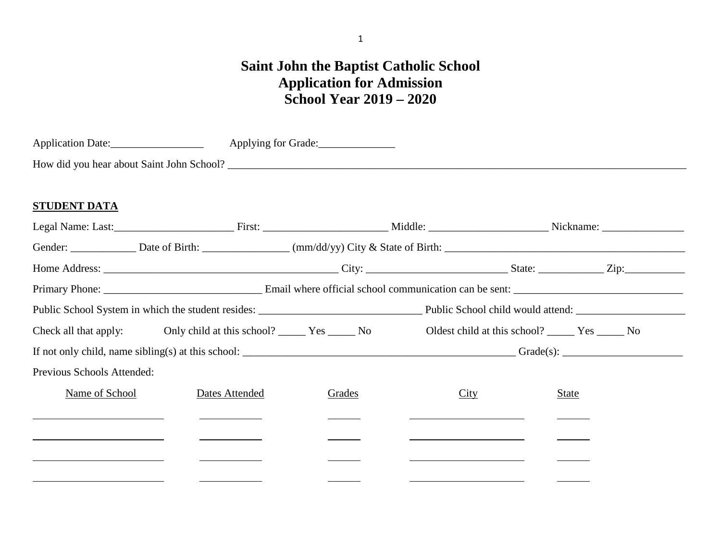# **Saint John the Baptist Catholic School Application for Admission School Year 2019 – 2020**

| <b>Application Date:</b>                  | Applying for Grade: |
|-------------------------------------------|---------------------|
| How did you hear about Saint John School? |                     |

## **STUDENT DATA**

|                            | Check all that apply: Only child at this school? _______ Yes ______ No Oldest child at this school? ______ Yes ______ No |        |      |       |  |  |  |
|----------------------------|--------------------------------------------------------------------------------------------------------------------------|--------|------|-------|--|--|--|
|                            |                                                                                                                          |        |      |       |  |  |  |
| Previous Schools Attended: |                                                                                                                          |        |      |       |  |  |  |
| Name of School             | Dates Attended                                                                                                           | Grades | City | State |  |  |  |
|                            |                                                                                                                          |        |      |       |  |  |  |
|                            |                                                                                                                          |        |      |       |  |  |  |
|                            |                                                                                                                          |        |      |       |  |  |  |
|                            |                                                                                                                          |        |      |       |  |  |  |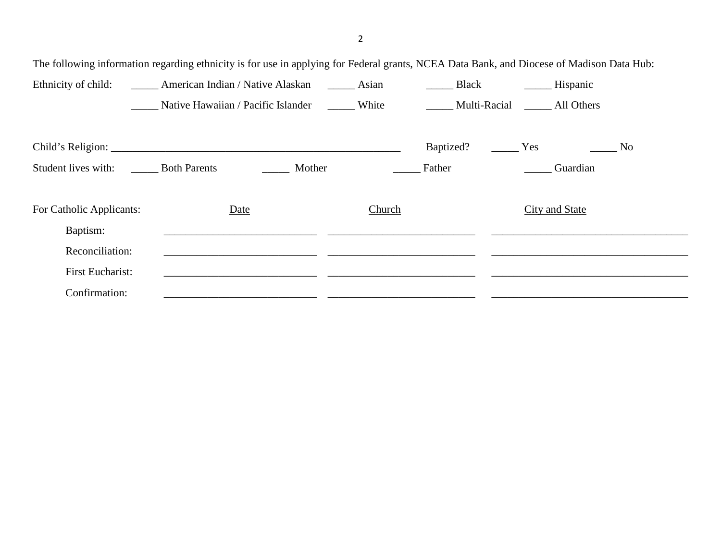The following information regarding ethnicity is for use in applying for Federal grants, NCEA Data Bank, and Diocese of Madison Data Hub: Ethnicity of child: American Indian / Native Alaskan Asian Black Hispanic Hispanic Native Hawaiian / Pacific Islander \_\_\_\_\_\_ White \_\_\_\_\_\_\_ Multi-Racial \_\_\_\_\_ All Others Child's Religion: \_\_\_\_\_\_\_\_\_\_\_\_\_\_\_\_\_\_\_\_\_\_\_\_\_\_\_\_\_\_\_\_\_\_\_\_\_\_\_\_\_\_\_\_\_\_\_\_\_\_\_\_\_ Baptized? \_\_\_\_\_ Yes \_\_\_\_\_ No Student lives with: <br>
Both Parents **Mother Father Example 1** Guardian For Catholic Applicants: Date Date Church City and State Baptism: \_\_\_\_\_\_\_\_\_\_\_\_\_\_\_\_\_\_\_\_\_\_\_\_\_\_\_\_ \_\_\_\_\_\_\_\_\_\_\_\_\_\_\_\_\_\_\_\_\_\_\_\_\_\_\_ \_\_\_\_\_\_\_\_\_\_\_\_\_\_\_\_\_\_\_\_\_\_\_\_\_\_\_\_\_\_\_\_\_\_\_\_ Reconciliation: \_\_\_\_\_\_\_\_\_\_\_\_\_\_\_\_\_\_\_\_\_\_\_\_\_\_\_\_ \_\_\_\_\_\_\_\_\_\_\_\_\_\_\_\_\_\_\_\_\_\_\_\_\_\_\_ \_\_\_\_\_\_\_\_\_\_\_\_\_\_\_\_\_\_\_\_\_\_\_\_\_\_\_\_\_\_\_\_\_\_\_\_ First Eucharist: \_\_\_\_\_\_\_\_\_\_\_\_\_\_\_\_\_\_\_\_\_\_\_\_\_\_\_\_ \_\_\_\_\_\_\_\_\_\_\_\_\_\_\_\_\_\_\_\_\_\_\_\_\_\_\_ \_\_\_\_\_\_\_\_\_\_\_\_\_\_\_\_\_\_\_\_\_\_\_\_\_\_\_\_\_\_\_\_\_\_\_\_ Confirmation: \_\_\_\_\_\_\_\_\_\_\_\_\_\_\_\_\_\_\_\_\_\_\_\_\_\_\_\_ \_\_\_\_\_\_\_\_\_\_\_\_\_\_\_\_\_\_\_\_\_\_\_\_\_\_\_ \_\_\_\_\_\_\_\_\_\_\_\_\_\_\_\_\_\_\_\_\_\_\_\_\_\_\_\_\_\_\_\_\_\_\_\_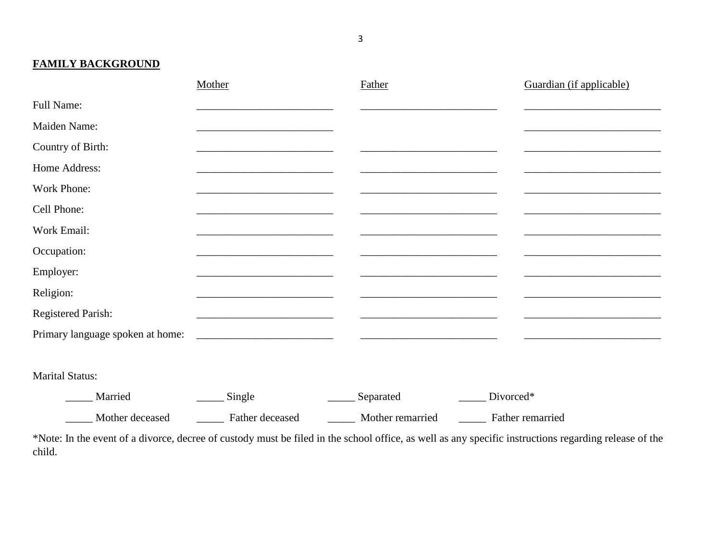**FAMILY BACKGROUND**

|                                            | Mother             | Father                             | Guardian (if applicable)           |
|--------------------------------------------|--------------------|------------------------------------|------------------------------------|
| Full Name:                                 |                    |                                    |                                    |
| Maiden Name:                               |                    |                                    |                                    |
| Country of Birth:                          |                    |                                    |                                    |
| Home Address:                              |                    |                                    |                                    |
| Work Phone:                                |                    |                                    |                                    |
| Cell Phone:                                |                    |                                    |                                    |
| Work Email:                                |                    |                                    |                                    |
| Occupation:                                |                    |                                    |                                    |
| Employer:                                  |                    |                                    |                                    |
| Religion:                                  |                    |                                    |                                    |
| <b>Registered Parish:</b>                  |                    |                                    |                                    |
| Primary language spoken at home:           |                    |                                    |                                    |
|                                            |                    |                                    |                                    |
| <b>Marital Status:</b>                     |                    |                                    |                                    |
| $\mathbf{M}$ = $\mathbf{M}$ = $\mathbf{M}$ | $C_{\rm max}$ $-1$ | $\alpha$ and $\alpha$ and $\alpha$ | $\mathbf{D}$ $\cdots$ $\mathbf{D}$ |

\_\_\_\_\_ Married \_\_\_\_\_ Single \_\_\_\_\_ Separated \_\_\_\_\_ Divorced\* \_\_\_\_\_ Mother deceased \_\_\_\_\_ Father deceased \_\_\_\_\_ Mother remarried \_\_\_\_\_ Father remarried

\*Note: In the event of a divorce, decree of custody must be filed in the school office, as well as any specific instructions regarding release of the child.